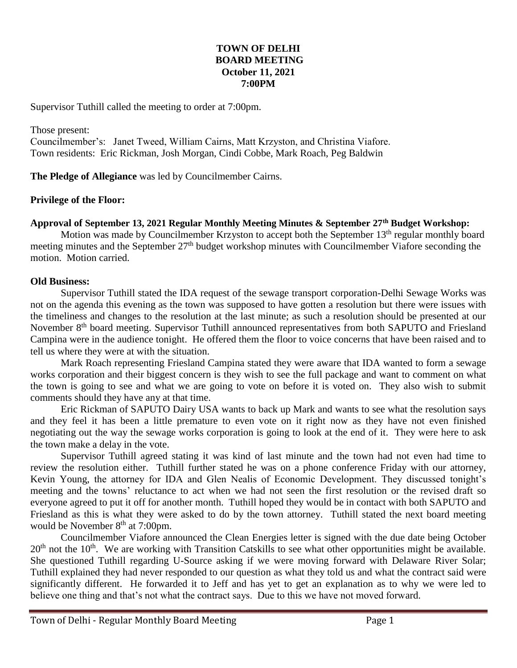#### **TOWN OF DELHI BOARD MEETING October 11, 2021 7:00PM**

Supervisor Tuthill called the meeting to order at 7:00pm.

Those present: Councilmember's: Janet Tweed, William Cairns, Matt Krzyston, and Christina Viafore. Town residents: Eric Rickman, Josh Morgan, Cindi Cobbe, Mark Roach, Peg Baldwin

**The Pledge of Allegiance** was led by Councilmember Cairns.

#### **Privilege of the Floor:**

## **Approval of September 13, 2021 Regular Monthly Meeting Minutes & September 27th Budget Workshop:**

Motion was made by Councilmember Krzyston to accept both the September 13<sup>th</sup> regular monthly board meeting minutes and the September 27<sup>th</sup> budget workshop minutes with Councilmember Viafore seconding the motion. Motion carried.

#### **Old Business:**

Supervisor Tuthill stated the IDA request of the sewage transport corporation-Delhi Sewage Works was not on the agenda this evening as the town was supposed to have gotten a resolution but there were issues with the timeliness and changes to the resolution at the last minute; as such a resolution should be presented at our November 8<sup>th</sup> board meeting. Supervisor Tuthill announced representatives from both SAPUTO and Friesland Campina were in the audience tonight. He offered them the floor to voice concerns that have been raised and to tell us where they were at with the situation.

Mark Roach representing Friesland Campina stated they were aware that IDA wanted to form a sewage works corporation and their biggest concern is they wish to see the full package and want to comment on what the town is going to see and what we are going to vote on before it is voted on. They also wish to submit comments should they have any at that time.

Eric Rickman of SAPUTO Dairy USA wants to back up Mark and wants to see what the resolution says and they feel it has been a little premature to even vote on it right now as they have not even finished negotiating out the way the sewage works corporation is going to look at the end of it. They were here to ask the town make a delay in the vote.

Supervisor Tuthill agreed stating it was kind of last minute and the town had not even had time to review the resolution either. Tuthill further stated he was on a phone conference Friday with our attorney, Kevin Young, the attorney for IDA and Glen Nealis of Economic Development. They discussed tonight's meeting and the towns' reluctance to act when we had not seen the first resolution or the revised draft so everyone agreed to put it off for another month. Tuthill hoped they would be in contact with both SAPUTO and Friesland as this is what they were asked to do by the town attorney. Tuthill stated the next board meeting would be November  $8<sup>th</sup>$  at 7:00pm.

Councilmember Viafore announced the Clean Energies letter is signed with the due date being October  $20<sup>th</sup>$  not the  $10<sup>th</sup>$ . We are working with Transition Catskills to see what other opportunities might be available. She questioned Tuthill regarding U-Source asking if we were moving forward with Delaware River Solar; Tuthill explained they had never responded to our question as what they told us and what the contract said were significantly different. He forwarded it to Jeff and has yet to get an explanation as to why we were led to believe one thing and that's not what the contract says. Due to this we have not moved forward.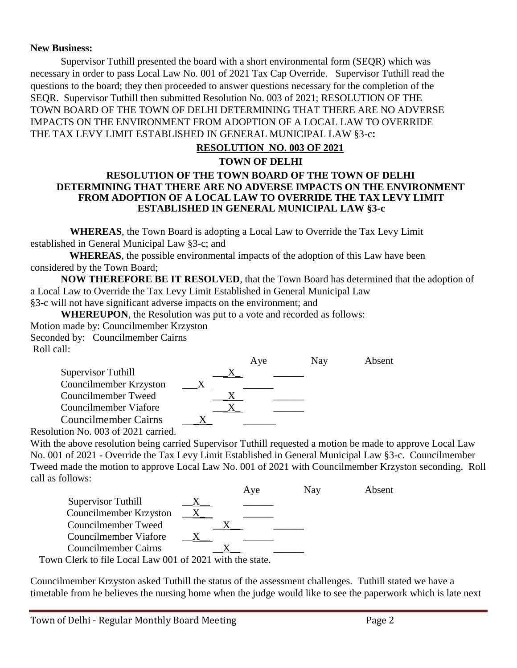#### **New Business:**

Supervisor Tuthill presented the board with a short environmental form (SEQR) which was necessary in order to pass Local Law No. 001 of 2021 Tax Cap Override. Supervisor Tuthill read the questions to the board; they then proceeded to answer questions necessary for the completion of the SEQR. Supervisor Tuthill then submitted Resolution No. 003 of 2021; RESOLUTION OF THE TOWN BOARD OF THE TOWN OF DELHI DETERMINING THAT THERE ARE NO ADVERSE IMPACTS ON THE ENVIRONMENT FROM ADOPTION OF A LOCAL LAW TO OVERRIDE THE TAX LEVY LIMIT ESTABLISHED IN GENERAL MUNICIPAL LAW §3-c**:**

## **RESOLUTION NO. 003 OF 2021**

#### **TOWN OF DELHI RESOLUTION OF THE TOWN BOARD OF THE TOWN OF DELHI DETERMINING THAT THERE ARE NO ADVERSE IMPACTS ON THE ENVIRONMENT FROM ADOPTION OF A LOCAL LAW TO OVERRIDE THE TAX LEVY LIMIT ESTABLISHED IN GENERAL MUNICIPAL LAW §3-c**

**WHEREAS**, the Town Board is adopting a Local Law to Override the Tax Levy Limit established in General Municipal Law §3-c; and

**WHEREAS**, the possible environmental impacts of the adoption of this Law have been considered by the Town Board;

**NOW THEREFORE BE IT RESOLVED**, that the Town Board has determined that the adoption of a Local Law to Override the Tax Levy Limit Established in General Municipal Law §3-c will not have significant adverse impacts on the environment; and

**WHEREUPON**, the Resolution was put to a vote and recorded as follows: Motion made by: Councilmember Krzyston Seconded by: Councilmember Cairns Roll call:

|                             | Aye | Nav | Absent |
|-----------------------------|-----|-----|--------|
| Supervisor Tuthill          |     |     |        |
| Councilmember Krzyston      |     |     |        |
| Councilmember Tweed         |     |     |        |
| Councilmember Viafore       |     |     |        |
| <b>Councilmember Cairns</b> |     |     |        |
| $\cdots$ at 000 $0.001$     |     |     |        |

Resolution No. 003 of 2021 carried.

With the above resolution being carried Supervisor Tuthill requested a motion be made to approve Local Law No. 001 of 2021 - Override the Tax Levy Limit Established in General Municipal Law §3-c. Councilmember Tweed made the motion to approve Local Law No. 001 of 2021 with Councilmember Krzyston seconding. Roll call as follows:

|                                                          |  | Aye | Nav | Absent |
|----------------------------------------------------------|--|-----|-----|--------|
| Supervisor Tuthill                                       |  |     |     |        |
| Councilmember Krzyston                                   |  |     |     |        |
| Councilmember Tweed                                      |  |     |     |        |
| Councilmember Viafore                                    |  |     |     |        |
| <b>Councilmember Cairns</b>                              |  |     |     |        |
| Town Clerk to file Local Law 001 of 2021 with the state. |  |     |     |        |

Councilmember Krzyston asked Tuthill the status of the assessment challenges. Tuthill stated we have a timetable from he believes the nursing home when the judge would like to see the paperwork which is late next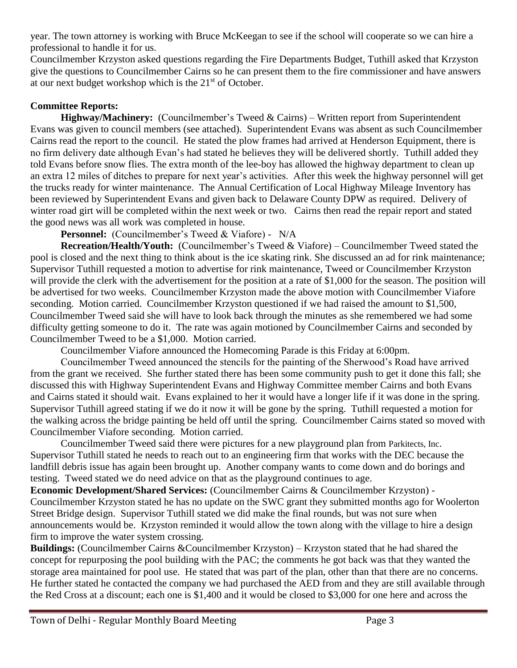year. The town attorney is working with Bruce McKeegan to see if the school will cooperate so we can hire a professional to handle it for us.

Councilmember Krzyston asked questions regarding the Fire Departments Budget, Tuthill asked that Krzyston give the questions to Councilmember Cairns so he can present them to the fire commissioner and have answers at our next budget workshop which is the  $21<sup>st</sup>$  of October.

## **Committee Reports:**

**Highway/Machinery:** (Councilmember's Tweed & Cairns) – Written report from Superintendent Evans was given to council members (see attached). Superintendent Evans was absent as such Councilmember Cairns read the report to the council. He stated the plow frames had arrived at Henderson Equipment, there is no firm delivery date although Evan's had stated he believes they will be delivered shortly. Tuthill added they told Evans before snow flies. The extra month of the lee-boy has allowed the highway department to clean up an extra 12 miles of ditches to prepare for next year's activities. After this week the highway personnel will get the trucks ready for winter maintenance. The Annual Certification of Local Highway Mileage Inventory has been reviewed by Superintendent Evans and given back to Delaware County DPW as required. Delivery of winter road girt will be completed within the next week or two. Cairns then read the repair report and stated the good news was all work was completed in house.

**Personnel:** (Councilmember's Tweed & Viafore) - N/A

**Recreation/Health/Youth:** (Councilmember's Tweed & Viafore) – Councilmember Tweed stated the pool is closed and the next thing to think about is the ice skating rink. She discussed an ad for rink maintenance; Supervisor Tuthill requested a motion to advertise for rink maintenance, Tweed or Councilmember Krzyston will provide the clerk with the advertisement for the position at a rate of \$1,000 for the season. The position will be advertised for two weeks. Councilmember Krzyston made the above motion with Councilmember Viafore seconding. Motion carried. Councilmember Krzyston questioned if we had raised the amount to \$1,500, Councilmember Tweed said she will have to look back through the minutes as she remembered we had some difficulty getting someone to do it. The rate was again motioned by Councilmember Cairns and seconded by Councilmember Tweed to be a \$1,000. Motion carried.

Councilmember Viafore announced the Homecoming Parade is this Friday at 6:00pm.

Councilmember Tweed announced the stencils for the painting of the Sherwood's Road have arrived from the grant we received. She further stated there has been some community push to get it done this fall; she discussed this with Highway Superintendent Evans and Highway Committee member Cairns and both Evans and Cairns stated it should wait. Evans explained to her it would have a longer life if it was done in the spring. Supervisor Tuthill agreed stating if we do it now it will be gone by the spring. Tuthill requested a motion for the walking across the bridge painting be held off until the spring. Councilmember Cairns stated so moved with Councilmember Viafore seconding. Motion carried.

Councilmember Tweed said there were pictures for a new playground plan from Parkitects, Inc. Supervisor Tuthill stated he needs to reach out to an engineering firm that works with the DEC because the landfill debris issue has again been brought up. Another company wants to come down and do borings and testing. Tweed stated we do need advice on that as the playground continues to age.

**Economic Development/Shared Services:** (Councilmember Cairns & Councilmember Krzyston) - Councilmember Krzyston stated he has no update on the SWC grant they submitted months ago for Woolerton Street Bridge design. Supervisor Tuthill stated we did make the final rounds, but was not sure when announcements would be. Krzyston reminded it would allow the town along with the village to hire a design firm to improve the water system crossing.

**Buildings:** (Councilmember Cairns &Councilmember Krzyston) – Krzyston stated that he had shared the concept for repurposing the pool building with the PAC; the comments he got back was that they wanted the storage area maintained for pool use. He stated that was part of the plan, other than that there are no concerns. He further stated he contacted the company we had purchased the AED from and they are still available through the Red Cross at a discount; each one is \$1,400 and it would be closed to \$3,000 for one here and across the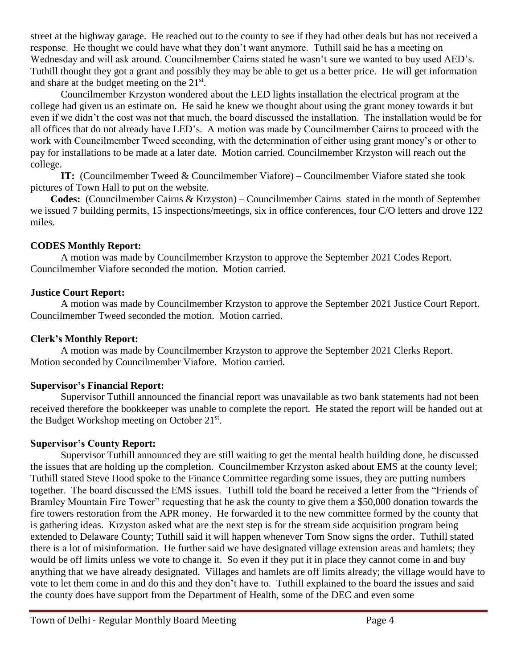street at the highway garage. He reached out to the county to see if they had other deals but has not received a response. He thought we could have what they don't want anymore. Tuthill said he has a meeting on Wednesday and will ask around. Councilmember Cairns stated he wasn't sure we wanted to buy used AED's. Tuthill thought they got a grant and possibly they may be able to get us a better price. He will get information and share at the budget meeting on the  $21<sup>st</sup>$ .

Councilmember Krzyston wondered about the LED lights installation the electrical program at the college had given us an estimate on. He said he knew we thought about using the grant money towards it but even if we didn't the cost was not that much, the board discussed the installation. The installation would be for all offices that do not already have LED's. A motion was made by Councilmember Cairns to proceed with the work with Councilmember Tweed seconding, with the determination of either using grant money's or other to pay for installations to be made at a later date. Motion carried. Councilmember Krzyston will reach out the college.

**IT:** (Councilmember Tweed & Councilmember Viafore) – Councilmember Viafore stated she took pictures of Town Hall to put on the website.

 **Codes:** (Councilmember Cairns & Krzyston) – Councilmember Cairns stated in the month of September we issued 7 building permits, 15 inspections/meetings, six in office conferences, four C/O letters and drove 122 miles.

# **CODES Monthly Report:**

A motion was made by Councilmember Krzyston to approve the September 2021 Codes Report. Councilmember Viafore seconded the motion. Motion carried.

## **Justice Court Report:**

A motion was made by Councilmember Krzyston to approve the September 2021 Justice Court Report. Councilmember Tweed seconded the motion. Motion carried.

# **Clerk's Monthly Report:**

A motion was made by Councilmember Krzyston to approve the September 2021 Clerks Report. Motion seconded by Councilmember Viafore. Motion carried.

# **Supervisor's Financial Report:**

Supervisor Tuthill announced the financial report was unavailable as two bank statements had not been received therefore the bookkeeper was unable to complete the report. He stated the report will be handed out at the Budget Workshop meeting on October 21<sup>st</sup>.

# **Supervisor's County Report:**

Supervisor Tuthill announced they are still waiting to get the mental health building done, he discussed the issues that are holding up the completion. Councilmember Krzyston asked about EMS at the county level; Tuthill stated Steve Hood spoke to the Finance Committee regarding some issues, they are putting numbers together. The board discussed the EMS issues. Tuthill told the board he received a letter from the "Friends of Bramley Mountain Fire Tower" requesting that he ask the county to give them a \$50,000 donation towards the fire towers restoration from the APR money. He forwarded it to the new committee formed by the county that is gathering ideas. Krzyston asked what are the next step is for the stream side acquisition program being extended to Delaware County; Tuthill said it will happen whenever Tom Snow signs the order. Tuthill stated there is a lot of misinformation. He further said we have designated village extension areas and hamlets; they would be off limits unless we vote to change it. So even if they put it in place they cannot come in and buy anything that we have already designated. Villages and hamlets are off limits already; the village would have to vote to let them come in and do this and they don't have to. Tuthill explained to the board the issues and said the county does have support from the Department of Health, some of the DEC and even some